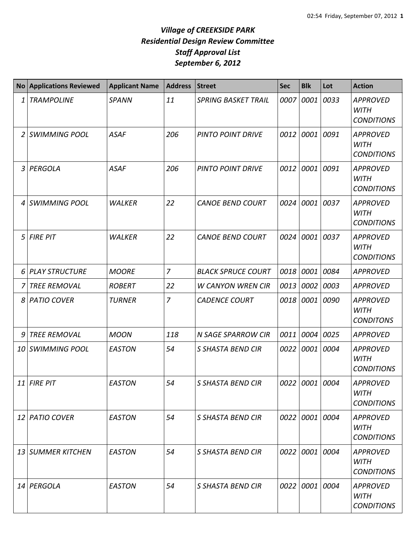| <b>No</b> | <b>Applications Reviewed</b> | <b>Applicant Name</b> | <b>Address</b> | <b>Street</b>              | <b>Sec</b> | <b>Blk</b>     | Lot  | <b>Action</b>                                       |
|-----------|------------------------------|-----------------------|----------------|----------------------------|------------|----------------|------|-----------------------------------------------------|
| 1         | <b>TRAMPOLINE</b>            | <b>SPANN</b>          | 11             | <b>SPRING BASKET TRAIL</b> | 0007       | 0001           | 0033 | <b>APPROVED</b><br><b>WITH</b><br><b>CONDITIONS</b> |
| 2         | <b>SWIMMING POOL</b>         | <b>ASAF</b>           | 206            | <b>PINTO POINT DRIVE</b>   |            | 0012 0001      | 0091 | <b>APPROVED</b><br><b>WITH</b><br><b>CONDITIONS</b> |
| 3         | PERGOLA                      | <b>ASAF</b>           | 206            | <b>PINTO POINT DRIVE</b>   |            | 0012 0001      | 0091 | <b>APPROVED</b><br><b>WITH</b><br><b>CONDITIONS</b> |
| 4         | <b>SWIMMING POOL</b>         | <b>WALKER</b>         | 22             | <b>CANOE BEND COURT</b>    | 0024       | 0001           | 0037 | <b>APPROVED</b><br><b>WITH</b><br><b>CONDITIONS</b> |
| 5         | <b>FIRE PIT</b>              | <b>WALKER</b>         | 22             | <b>CANOE BEND COURT</b>    | 0024       | 0001           | 0037 | <b>APPROVED</b><br><b>WITH</b><br><b>CONDITIONS</b> |
| 6         | <b>PLAY STRUCTURE</b>        | <b>MOORE</b>          | $\overline{7}$ | <b>BLACK SPRUCE COURT</b>  |            | 0018 0001      | 0084 | <b>APPROVED</b>                                     |
|           | <b>TREE REMOVAL</b>          | <b>ROBERT</b>         | 22             | <b>W CANYON WREN CIR</b>   | 0013       | 0002           | 0003 | <b>APPROVED</b>                                     |
| 8         | <b>PATIO COVER</b>           | <b>TURNER</b>         | $\overline{7}$ | <b>CADENCE COURT</b>       | 0018       | 0001           | 0090 | <b>APPROVED</b><br><b>WITH</b><br><b>CONDITONS</b>  |
| 9         | <b>TREE REMOVAL</b>          | <b>MOON</b>           | 118            | <b>N SAGE SPARROW CIR</b>  | 0011       | 0004           | 0025 | <b>APPROVED</b>                                     |
| 10        | <b>SWIMMING POOL</b>         | <b>EASTON</b>         | 54             | <b>S SHASTA BEND CIR</b>   | 0022       | 0001           | 0004 | <b>APPROVED</b><br><b>WITH</b><br><b>CONDITIONS</b> |
|           | 11 FIRE PIT                  | <b>EASTON</b>         | 54             | S SHASTA BEND CIR          |            | 0022 0001 0004 |      | <b>APPROVED</b><br><b>WITH</b><br><b>CONDITIONS</b> |
|           | 12 PATIO COVER               | <b>EASTON</b>         | 54             | <b>S SHASTA BEND CIR</b>   |            | 0022 0001      | 0004 | <b>APPROVED</b><br><b>WITH</b><br><b>CONDITIONS</b> |
|           | 13 SUMMER KITCHEN            | <b>EASTON</b>         | 54             | <b>S SHASTA BEND CIR</b>   |            | 0022 0001      | 0004 | <b>APPROVED</b><br><b>WITH</b><br><b>CONDITIONS</b> |
|           | 14 PERGOLA                   | <b>EASTON</b>         | 54             | S SHASTA BEND CIR          |            | 0022 0001      | 0004 | <b>APPROVED</b><br><b>WITH</b><br><b>CONDITIONS</b> |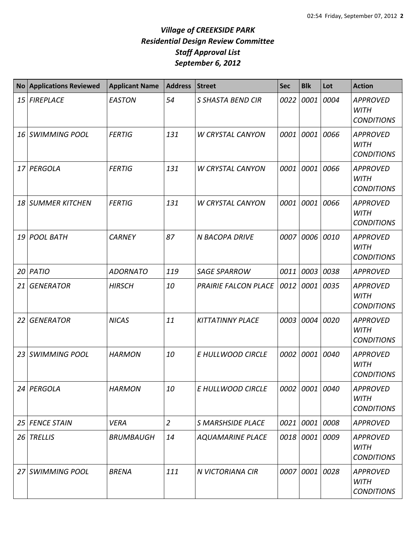| <b>No</b> | <b>Applications Reviewed</b> | <b>Applicant Name</b> | <b>Address</b> | <b>Street</b>               | <b>Sec</b> | <b>Blk</b>     | Lot  | <b>Action</b>                                       |
|-----------|------------------------------|-----------------------|----------------|-----------------------------|------------|----------------|------|-----------------------------------------------------|
| 15        | <b>FIREPLACE</b>             | <b>EASTON</b>         | 54             | S SHASTA BEND CIR           | 0022       | 0001           | 0004 | <b>APPROVED</b><br><b>WITH</b><br><b>CONDITIONS</b> |
| 16 I      | <b>SWIMMING POOL</b>         | <b>FERTIG</b>         | 131            | <b>W CRYSTAL CANYON</b>     | 0001       | 0001           | 0066 | <b>APPROVED</b><br><b>WITH</b><br><b>CONDITIONS</b> |
| 17 I      | PERGOLA                      | <b>FERTIG</b>         | 131            | <b>W CRYSTAL CANYON</b>     | 0001       | 0001           | 0066 | <b>APPROVED</b><br><b>WITH</b><br><b>CONDITIONS</b> |
| 18        | <b>SUMMER KITCHEN</b>        | <b>FERTIG</b>         | 131            | <b>W CRYSTAL CANYON</b>     | 0001       | 0001           | 0066 | <b>APPROVED</b><br><b>WITH</b><br><b>CONDITIONS</b> |
| 19        | <b>POOL BATH</b>             | <b>CARNEY</b>         | 87             | <b>N BACOPA DRIVE</b>       | 0007       | 0006           | 0010 | <b>APPROVED</b><br><b>WITH</b><br><b>CONDITIONS</b> |
| 20        | PATIO                        | <b>ADORNATO</b>       | 119            | <b>SAGE SPARROW</b>         | 0011       | 0003           | 0038 | <b>APPROVED</b>                                     |
| 21        | <b>GENERATOR</b>             | <b>HIRSCH</b>         | 10             | <b>PRAIRIE FALCON PLACE</b> | 0012       | 0001           | 0035 | <b>APPROVED</b><br><b>WITH</b><br><b>CONDITIONS</b> |
| 22        | <b>GENERATOR</b>             | <b>NICAS</b>          | 11             | <b>KITTATINNY PLACE</b>     | 0003       | 0004           | 0020 | <b>APPROVED</b><br><b>WITH</b><br><b>CONDITIONS</b> |
| 23        | <b>SWIMMING POOL</b>         | <b>HARMON</b>         | 10             | E HULLWOOD CIRCLE           | 0002       | 0001           | 0040 | <b>APPROVED</b><br><b>WITH</b><br><b>CONDITIONS</b> |
|           | 24 PERGOLA                   | <b>HARMON</b>         | 10             | E HULLWOOD CIRCLE           |            | 0002 0001 0040 |      | <b>APPROVED</b><br><b>WITH</b><br><b>CONDITIONS</b> |
| 25        | <b>FENCE STAIN</b>           | <b>VERA</b>           | $\overline{2}$ | <b>S MARSHSIDE PLACE</b>    | 0021       | 0001           | 0008 | <b>APPROVED</b>                                     |
| 26        | <b>TRELLIS</b>               | <b>BRUMBAUGH</b>      | 14             | <b>AQUAMARINE PLACE</b>     |            | 0018 0001      | 0009 | <b>APPROVED</b><br><b>WITH</b><br><b>CONDITIONS</b> |
|           | 27 SWIMMING POOL             | <b>BRENA</b>          | 111            | N VICTORIANA CIR            |            | 0007 0001      | 0028 | <b>APPROVED</b><br><b>WITH</b><br><b>CONDITIONS</b> |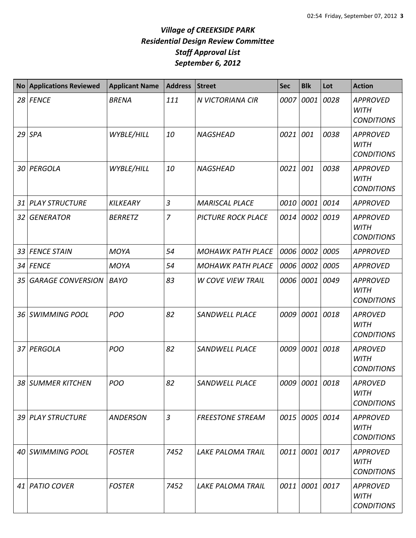| <b>No</b> | <b>Applications Reviewed</b> | <b>Applicant Name</b> | <b>Address</b> | <b>Street</b>             | <b>Sec</b> | <b>Blk</b>     | Lot  | <b>Action</b>                                       |
|-----------|------------------------------|-----------------------|----------------|---------------------------|------------|----------------|------|-----------------------------------------------------|
| 28        | <b>FENCE</b>                 | <b>BRENA</b>          | 111            | N VICTORIANA CIR          | 0007       | 0001           | 0028 | <b>APPROVED</b><br><b>WITH</b><br><b>CONDITIONS</b> |
|           | $29$ SPA                     | WYBLE/HILL            | 10             | <b>NAGSHEAD</b>           | 0021       | 001            | 0038 | <b>APPROVED</b><br><b>WITH</b><br><b>CONDITIONS</b> |
| 30 I      | PERGOLA                      | WYBLE/HILL            | 10             | <b>NAGSHEAD</b>           | 0021       | 001            | 0038 | <b>APPROVED</b><br><b>WITH</b><br><b>CONDITIONS</b> |
| 31        | <b>PLAY STRUCTURE</b>        | <b>KILKEARY</b>       | $\overline{3}$ | <b>MARISCAL PLACE</b>     | 0010       | 0001           | 0014 | <b>APPROVED</b>                                     |
| 32        | <b>GENERATOR</b>             | <b>BERRETZ</b>        | $\overline{7}$ | <b>PICTURE ROCK PLACE</b> | 0014       | 0002           | 0019 | <b>APPROVED</b><br><b>WITH</b><br><b>CONDITIONS</b> |
| 33        | <b>FENCE STAIN</b>           | <b>MOYA</b>           | 54             | <b>MOHAWK PATH PLACE</b>  | 0006       | 0002           | 0005 | <b>APPROVED</b>                                     |
| 34        | <b>FENCE</b>                 | <b>MOYA</b>           | 54             | <b>MOHAWK PATH PLACE</b>  | 0006       | 0002           | 0005 | <b>APPROVED</b>                                     |
| 35        | <b>GARAGE CONVERSION</b>     | <b>BAYO</b>           | 83             | <b>W COVE VIEW TRAIL</b>  | 0006       | 0001           | 0049 | <b>APPROVED</b><br><b>WITH</b><br><b>CONDITIONS</b> |
| 36        | <b>SWIMMING POOL</b>         | <b>POO</b>            | 82             | <b>SANDWELL PLACE</b>     | 0009       | 0001           | 0018 | <b>APROVED</b><br><b>WITH</b><br><b>CONDITIONS</b>  |
| 37        | PERGOLA                      | <b>POO</b>            | 82             | <b>SANDWELL PLACE</b>     | 0009       | 0001           | 0018 | <b>APROVED</b><br><b>WITH</b><br><b>CONDITIONS</b>  |
| 38        | <b>SUMMER KITCHEN</b>        | POO                   | 82             | SANDWELL PLACE            |            | 0009 0001 0018 |      | <b>APROVED</b><br><b>WITH</b><br><b>CONDITIONS</b>  |
|           | 39 PLAY STRUCTURE            | <b>ANDERSON</b>       | $\overline{3}$ | <b>FREESTONE STREAM</b>   |            | 0015 0005 0014 |      | <b>APPROVED</b><br><b>WITH</b><br><b>CONDITIONS</b> |
|           | 40 SWIMMING POOL             | <b>FOSTER</b>         | 7452           | <b>LAKE PALOMA TRAIL</b>  | 0011       | 0001           | 0017 | <b>APPROVED</b><br><b>WITH</b><br><b>CONDITIONS</b> |
|           | 41 PATIO COVER               | <b>FOSTER</b>         | 7452           | <b>LAKE PALOMA TRAIL</b>  |            | 0011 0001 0017 |      | <b>APPROVED</b><br>WITH<br><b>CONDITIONS</b>        |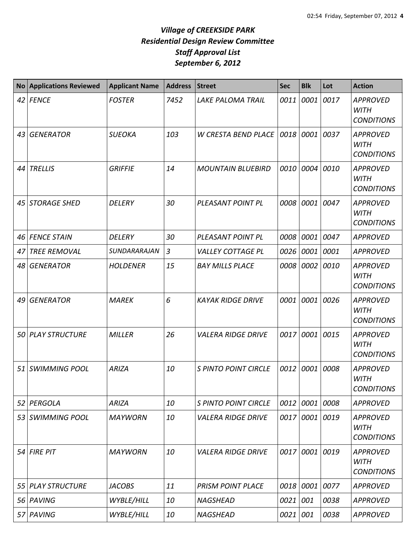| <b>No</b> | <b>Applications Reviewed</b> | <b>Applicant Name</b> | <b>Address</b> | <b>Street</b>               | <b>Sec</b> | <b>Blk</b> | Lot  | <b>Action</b>                                       |
|-----------|------------------------------|-----------------------|----------------|-----------------------------|------------|------------|------|-----------------------------------------------------|
|           | 42 FENCE                     | <b>FOSTER</b>         | 7452           | <b>LAKE PALOMA TRAIL</b>    | 0011       | 0001       | 0017 | <b>APPROVED</b><br><b>WITH</b><br><b>CONDITIONS</b> |
| 43        | <b>GENERATOR</b>             | <b>SUEOKA</b>         | 103            | <b>W CRESTA BEND PLACE</b>  | 0018       | 0001       | 0037 | <b>APPROVED</b><br><b>WITH</b><br><b>CONDITIONS</b> |
| 44        | <b>TRELLIS</b>               | <b>GRIFFIE</b>        | 14             | <b>MOUNTAIN BLUEBIRD</b>    | 0010       | 0004       | 0010 | <b>APPROVED</b><br><b>WITH</b><br><b>CONDITIONS</b> |
| 45        | <b>STORAGE SHED</b>          | <b>DELERY</b>         | 30             | PLEASANT POINT PL           | 0008       | 0001       | 0047 | <b>APPROVED</b><br><b>WITH</b><br><b>CONDITIONS</b> |
| 46        | <b>FENCE STAIN</b>           | <b>DELERY</b>         | 30             | PLEASANT POINT PL           | 0008       | 0001       | 0047 | <b>APPROVED</b>                                     |
| 47        | <b>TREE REMOVAL</b>          | SUNDARARAJAN          | $\overline{3}$ | <b>VALLEY COTTAGE PL</b>    | 0026       | 0001       | 0001 | <b>APPROVED</b>                                     |
| 48        | <b>GENERATOR</b>             | <b>HOLDENER</b>       | 15             | <b>BAY MILLS PLACE</b>      | 0008       | 0002       | 0010 | <b>APPROVED</b><br><b>WITH</b><br><b>CONDITIONS</b> |
| 49        | <b>GENERATOR</b>             | <b>MAREK</b>          | 6              | <b>KAYAK RIDGE DRIVE</b>    | 0001       | 0001       | 0026 | <b>APPROVED</b><br><b>WITH</b><br><b>CONDITIONS</b> |
| 50        | <b>PLAY STRUCTURE</b>        | <b>MILLER</b>         | 26             | <b>VALERA RIDGE DRIVE</b>   | 0017       | 0001       | 0015 | <b>APPROVED</b><br><b>WITH</b><br><b>CONDITIONS</b> |
| 51        | <b>SWIMMING POOL</b>         | <b>ARIZA</b>          | 10             | <b>S PINTO POINT CIRCLE</b> | 0012       | 0001       | 0008 | <b>APPROVED</b><br><b>WITH</b><br><b>CONDITIONS</b> |
| 52        | PERGOLA                      | <b>ARIZA</b>          | 10             | <b>S PINTO POINT CIRCLE</b> | 0012       | 0001       | 0008 | <b>APPROVED</b>                                     |
| 53        | <b>SWIMMING POOL</b>         | <b>MAYWORN</b>        | 10             | <b>VALERA RIDGE DRIVE</b>   | 0017       | 0001       | 0019 | <b>APPROVED</b><br><b>WITH</b><br><b>CONDITIONS</b> |
| 54        | <b>FIRE PIT</b>              | <b>MAYWORN</b>        | 10             | <b>VALERA RIDGE DRIVE</b>   | 0017       | 0001       | 0019 | <b>APPROVED</b><br><b>WITH</b><br><b>CONDITIONS</b> |
| 55        | <b>PLAY STRUCTURE</b>        | <b>JACOBS</b>         | 11             | <b>PRISM POINT PLACE</b>    | 0018       | 0001       | 0077 | <b>APPROVED</b>                                     |
| 56        | PAVING                       | WYBLE/HILL            | 10             | <b>NAGSHEAD</b>             | 0021       | 001        | 0038 | <b>APPROVED</b>                                     |
| 57 I      | PAVING                       | WYBLE/HILL            | 10             | <b>NAGSHEAD</b>             | 0021       | 001        | 0038 | <b>APPROVED</b>                                     |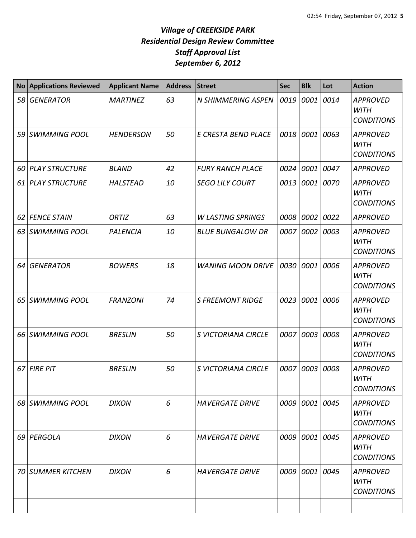| <b>No</b> | <b>Applications Reviewed</b> | <b>Applicant Name</b> | <b>Address</b> | <b>Street</b>             | <b>Sec</b> | <b>Blk</b>     | Lot  | <b>Action</b>                                       |
|-----------|------------------------------|-----------------------|----------------|---------------------------|------------|----------------|------|-----------------------------------------------------|
| 58        | <b>GENERATOR</b>             | <b>MARTINEZ</b>       | 63             | <b>N SHIMMERING ASPEN</b> | 0019       | 0001           | 0014 | <b>APPROVED</b><br><b>WITH</b><br><b>CONDITIONS</b> |
| 59        | <b>SWIMMING POOL</b>         | <b>HENDERSON</b>      | 50             | E CRESTA BEND PLACE       | 0018       | 0001           | 0063 | <b>APPROVED</b><br><b>WITH</b><br><b>CONDITIONS</b> |
| 60        | <b>PLAY STRUCTURE</b>        | <b>BLAND</b>          | 42             | <b>FURY RANCH PLACE</b>   | 0024       | 0001           | 0047 | <b>APPROVED</b>                                     |
| 61        | <b>PLAY STRUCTURE</b>        | <b>HALSTEAD</b>       | 10             | <b>SEGO LILY COURT</b>    | 0013       | 0001           | 0070 | <b>APPROVED</b><br><b>WITH</b><br><b>CONDITIONS</b> |
| 62        | <b>FENCE STAIN</b>           | ORTIZ                 | 63             | <b>W LASTING SPRINGS</b>  | 0008       | 0002           | 0022 | <b>APPROVED</b>                                     |
| 63        | <b>SWIMMING POOL</b>         | PALENCIA              | 10             | <b>BLUE BUNGALOW DR</b>   | 0007       | 0002           | 0003 | <b>APPROVED</b><br><b>WITH</b><br><b>CONDITIONS</b> |
| 64        | <b>GENERATOR</b>             | <b>BOWERS</b>         | 18             | <b>WANING MOON DRIVE</b>  | 0030       | 0001           | 0006 | <b>APPROVED</b><br><b>WITH</b><br><b>CONDITIONS</b> |
| 65        | <b>SWIMMING POOL</b>         | <b>FRANZONI</b>       | 74             | <b>S FREEMONT RIDGE</b>   | 0023       | 0001           | 0006 | <b>APPROVED</b><br><b>WITH</b><br><b>CONDITIONS</b> |
| 66        | <b>SWIMMING POOL</b>         | <b>BRESLIN</b>        | 50             | S VICTORIANA CIRCLE       | 0007       | 0003           | 0008 | <b>APPROVED</b><br><b>WITH</b><br><b>CONDITIONS</b> |
| 67        | <b>FIRE PIT</b>              | <b>BRESLIN</b>        | 50             | S VICTORIANA CIRCLE       | 0007       | 0003           | 0008 | <b>APPROVED</b><br><b>WITH</b><br><b>CONDITIONS</b> |
|           | 68 SWIMMING POOL             | <b>DIXON</b>          | 6              | <b>HAVERGATE DRIVE</b>    |            | 0009 0001 0045 |      | <b>APPROVED</b><br>WITH<br><b>CONDITIONS</b>        |
|           | 69 PERGOLA                   | <b>DIXON</b>          | 6              | <b>HAVERGATE DRIVE</b>    |            | 0009 0001      | 0045 | <b>APPROVED</b><br><b>WITH</b><br><b>CONDITIONS</b> |
|           | <b>70 SUMMER KITCHEN</b>     | <b>DIXON</b>          | 6              | <b>HAVERGATE DRIVE</b>    | 0009       | 0001           | 0045 | <b>APPROVED</b><br><b>WITH</b><br><b>CONDITIONS</b> |
|           |                              |                       |                |                           |            |                |      |                                                     |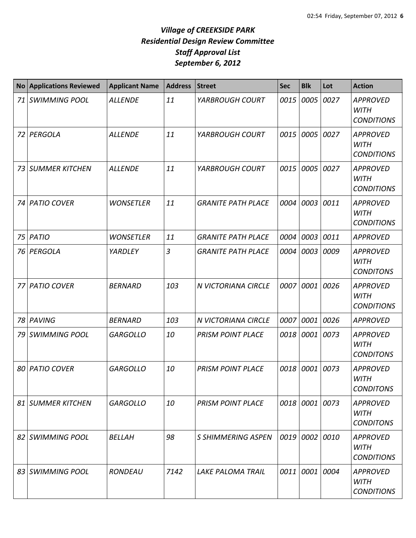| <b>No</b> | <b>Applications Reviewed</b> | <b>Applicant Name</b> | <b>Address</b> | <b>Street</b>             | <b>Sec</b> | <b>Blk</b>     | Lot  | <b>Action</b>                                       |
|-----------|------------------------------|-----------------------|----------------|---------------------------|------------|----------------|------|-----------------------------------------------------|
| 71        | <b>SWIMMING POOL</b>         | <b>ALLENDE</b>        | 11             | YARBROUGH COURT           | 0015       | 0005           | 0027 | <b>APPROVED</b><br><b>WITH</b><br><b>CONDITIONS</b> |
| 72        | PERGOLA                      | <b>ALLENDE</b>        | 11             | YARBROUGH COURT           | 0015       | 0005           | 0027 | <b>APPROVED</b><br><b>WITH</b><br><b>CONDITIONS</b> |
| 73        | <b>SUMMER KITCHEN</b>        | <b>ALLENDE</b>        | 11             | YARBROUGH COURT           | 0015       | 0005           | 0027 | <b>APPROVED</b><br><b>WITH</b><br><b>CONDITIONS</b> |
| 74        | <b>PATIO COVER</b>           | <b>WONSETLER</b>      | 11             | <b>GRANITE PATH PLACE</b> | 0004       | 0003           | 0011 | <b>APPROVED</b><br><b>WITH</b><br><b>CONDITIONS</b> |
| 75        | PATIO                        | <b>WONSETLER</b>      | 11             | <b>GRANITE PATH PLACE</b> | 0004       | 0003           | 0011 | <b>APPROVED</b>                                     |
| 76        | PERGOLA                      | YARDLEY               | 3              | <b>GRANITE PATH PLACE</b> | 0004       | 0003           | 0009 | <b>APPROVED</b><br><b>WITH</b><br><b>CONDITONS</b>  |
| 77        | <b>PATIO COVER</b>           | <b>BERNARD</b>        | 103            | N VICTORIANA CIRCLE       | 0007       | 0001           | 0026 | <b>APPROVED</b><br><b>WITH</b><br><b>CONDITIONS</b> |
| 78        | PAVING                       | <b>BERNARD</b>        | 103            | N VICTORIANA CIRCLE       | 0007       | 0001           | 0026 | <b>APPROVED</b>                                     |
| 79        | <b>SWIMMING POOL</b>         | <b>GARGOLLO</b>       | 10             | <b>PRISM POINT PLACE</b>  |            | 0018 0001      | 0073 | <b>APPROVED</b><br><b>WITH</b><br><b>CONDITONS</b>  |
| 80        | <b>PATIO COVER</b>           | <b>GARGOLLO</b>       | 10             | <b>PRISM POINT PLACE</b>  | 0018       | 0001           | 0073 | <b>APPROVED</b><br><b>WITH</b><br><b>CONDITONS</b>  |
| 81        | SUMMER KITCHEN               | <b>GARGOLLO</b>       | 10             | <b>PRISM POINT PLACE</b>  |            | 0018 0001 0073 |      | <b>APPROVED</b><br><b>WITH</b><br><b>CONDITONS</b>  |
|           | 82 SWIMMING POOL             | <b>BELLAH</b>         | 98             | <b>S SHIMMERING ASPEN</b> |            | 0019 0002      | 0010 | <b>APPROVED</b><br><b>WITH</b><br><b>CONDITIONS</b> |
|           | 83 SWIMMING POOL             | RONDEAU               | 7142           | <b>LAKE PALOMA TRAIL</b>  |            | 0011 0001      | 0004 | <b>APPROVED</b><br><b>WITH</b><br><b>CONDITIONS</b> |